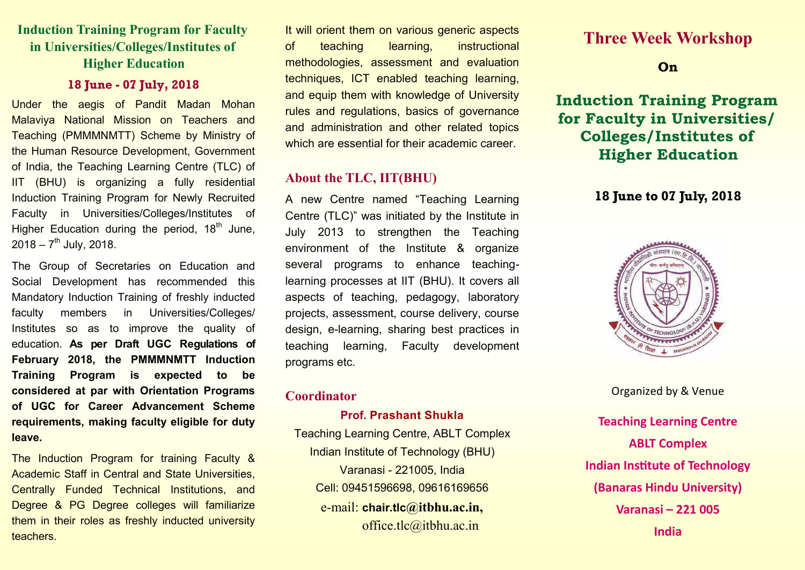# **Induction Training Program for Faculty in Universities/Colleges/Institutes of Higher Education**

#### **18 June - 07 July, 2018**

Under the aegis of Pandit Madan Mohan Malaviya National Mission on Teachers and Teaching (PMMMNMTT) Scheme by Ministry of the Human Resource Development, Government of India, the Teaching Learning Centre (TLC) of IIT (BHU) is organizing a fully residential Induction Training Program for Newly Recruited Faculty in Universities/Colleges/Institutes of Higher Education during the period,  $18<sup>th</sup>$  June,  $2018 - 7$ <sup>th</sup> July, 2018.

The Group of Secretaries on Education and Social Development has recommended this Mandatory Induction Training of freshly inducted faculty members in Universities/Colleges/ Institutes so as to improve the quality of education. **As per Draft UGC Regulations of February 2018, the PMMMNMTT Induction Training Program is expected to be considered at par with Orientation Programs of UGC for Career Advancement Scheme requirements, making faculty eligible for duty leave.** 

The Induction Program for training Faculty & Academic Staff in Central and State Universities, Centrally Funded Technical Institutions, and Degree & PG Degree colleges will familiarize them in their roles as freshly inducted university teachers.

It will orient them on various generic aspects of teaching learning, instructional methodologies, assessment and evaluation techniques, ICT enabled teaching learning, and equip them with knowledge of University rules and regulations, basics of governance and administration and other related topics which are essential for their academic career.

### **About the TLC, IIT(BHU)**

A new Centre named "Teaching Learning Centre (TLC)" was initiated by the Institute in July 2013 to strengthen the Teaching environment of the Institute & organize several programs to enhance teachinglearning processes at IIT (BHU). It covers all aspects of teaching, pedagogy, laboratory projects, assessment, course delivery, course design, e-learning, sharing best practices in teaching learning, Faculty development programs etc.

#### **Coordinator**

#### **Prof. Prashant Shukla**

Teaching Learning Centre, ABLT Complex Indian Institute of Technology (BHU) Varanasi - 221005, India Cell: 09451596698, 09616169656 e-mail: **chair.tlc@itbhu.ac.in,**  office.tlc@itbhu.ac.in

# **Three Week Workshop**

### **On**

**Induction Training Program for Faculty in Universities/ Colleges/Institutes of Higher Education**

### **18 June to 07 July, 2018**



Organized by & Venue

**Teaching Learning Centre ABLT Complex Indian Institute of Technology (Banaras Hindu University) Varanasi – 221 005 India**